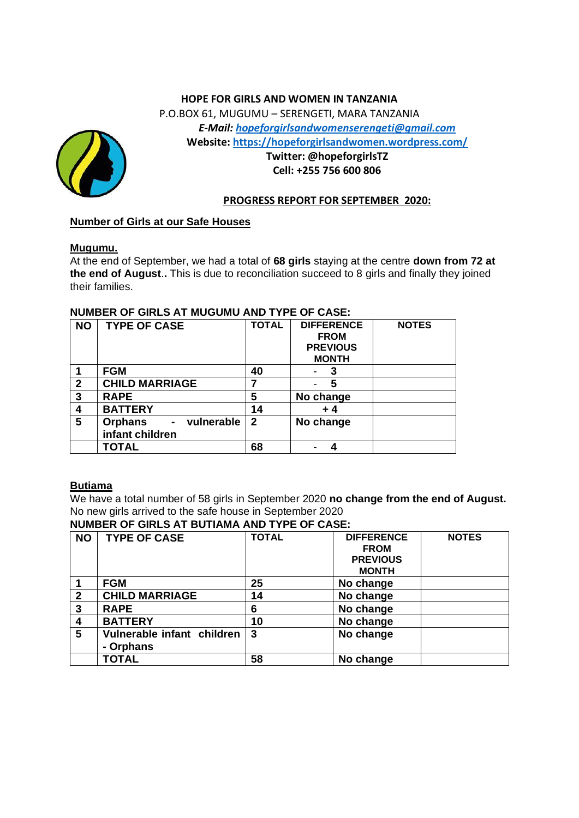## **HOPE FOR GIRLS AND WOMEN IN TANZANIA**

P.O.BOX 61, MUGUMU – SERENGETI, MARA TANZANIA *E-Mail: [hopeforgirlsandwomenserengeti@gmail.com](mailto:hopeforgirlsandwomenserengeti@gmail.com)* **Website: <https://hopeforgirlsandwomen.wordpress.com/>**



# **Twitter: @hopeforgirlsTZ Cell: +255 756 600 806**

### **PROGRESS REPORT FOR SEPTEMBER 2020:**

# **Number of Girls at our Safe Houses**

#### **Mugumu.**

At the end of September, we had a total of **68 girls** staying at the centre **down from 72 at the end of August**.**.** This is due to reconciliation succeed to 8 girls and finally they joined their families.

| <b>NO</b>      | <b>TYPE OF CASE</b>                        | <b>TOTAL</b> | <b>DIFFERENCE</b> | <b>NOTES</b> |
|----------------|--------------------------------------------|--------------|-------------------|--------------|
|                |                                            |              | <b>FROM</b>       |              |
|                |                                            |              | <b>PREVIOUS</b>   |              |
|                |                                            |              | <b>MONTH</b>      |              |
| 1              | <b>FGM</b>                                 | 40           | 3                 |              |
| $\overline{2}$ | <b>CHILD MARRIAGE</b>                      |              | 5                 |              |
| 3              | <b>RAPE</b>                                | 5            | No change         |              |
| 4              | <b>BATTERY</b>                             | 14           | + 4               |              |
| 5              | vulnerable<br><b>Orphans</b><br>$\sim 100$ | $\mathbf{2}$ | No change         |              |
|                | infant children                            |              |                   |              |
|                | <b>TOTAL</b>                               | 68           |                   |              |

#### **NUMBER OF GIRLS AT MUGUMU AND TYPE OF CASE:**

# **Butiama**

We have a total number of 58 girls in September 2020 **no change from the end of August.** No new girls arrived to the safe house in September 2020

## **NUMBER OF GIRLS AT BUTIAMA AND TYPE OF CASE:**

| <b>NO</b>    | <b>TYPE OF CASE</b>                     | <b>TOTAL</b> | <b>DIFFERENCE</b><br><b>FROM</b><br><b>PREVIOUS</b><br><b>MONTH</b> | <b>NOTES</b> |  |
|--------------|-----------------------------------------|--------------|---------------------------------------------------------------------|--------------|--|
|              | <b>FGM</b>                              | 25           | No change                                                           |              |  |
| $\mathbf{2}$ | <b>CHILD MARRIAGE</b>                   | 14           | No change                                                           |              |  |
| 3            | <b>RAPE</b>                             | 6            | No change                                                           |              |  |
| 4            | <b>BATTERY</b>                          | 10           | No change                                                           |              |  |
| 5            | Vulnerable infant children<br>- Orphans | 3            | No change                                                           |              |  |
|              | <b>TOTAL</b>                            | 58           | No change                                                           |              |  |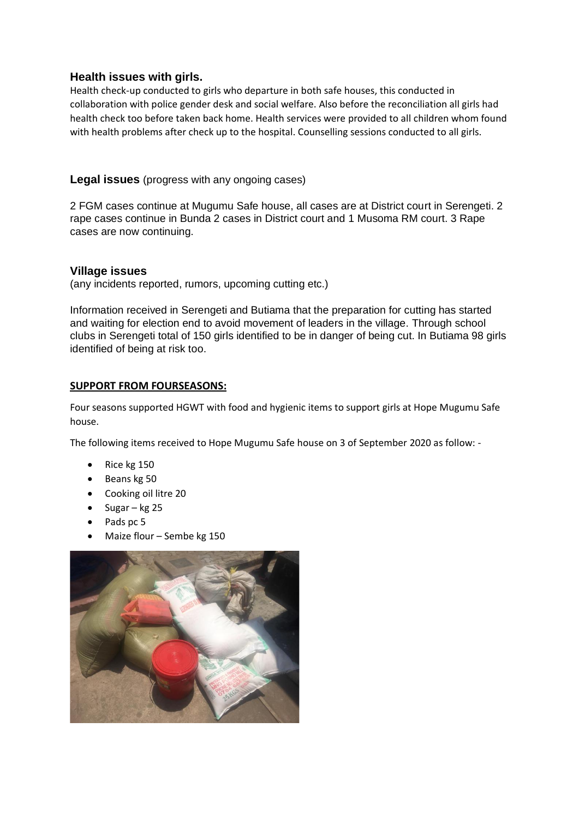# **Health issues with girls.**

Health check-up conducted to girls who departure in both safe houses, this conducted in collaboration with police gender desk and social welfare. Also before the reconciliation all girls had health check too before taken back home. Health services were provided to all children whom found with health problems after check up to the hospital. Counselling sessions conducted to all girls.

# **Legal issues** (progress with any ongoing cases)

2 FGM cases continue at Mugumu Safe house, all cases are at District court in Serengeti. 2 rape cases continue in Bunda 2 cases in District court and 1 Musoma RM court. 3 Rape cases are now continuing.

## **Village issues**

(any incidents reported, rumors, upcoming cutting etc.)

Information received in Serengeti and Butiama that the preparation for cutting has started and waiting for election end to avoid movement of leaders in the village. Through school clubs in Serengeti total of 150 girls identified to be in danger of being cut. In Butiama 98 girls identified of being at risk too.

## **SUPPORT FROM FOURSEASONS:**

Four seasons supported HGWT with food and hygienic items to support girls at Hope Mugumu Safe house.

The following items received to Hope Mugumu Safe house on 3 of September 2020 as follow: -

- Rice kg 150
- Beans kg 50
- Cooking oil litre 20
- Sugar kg 25
- Pads pc 5
- Maize flour Sembe kg 150

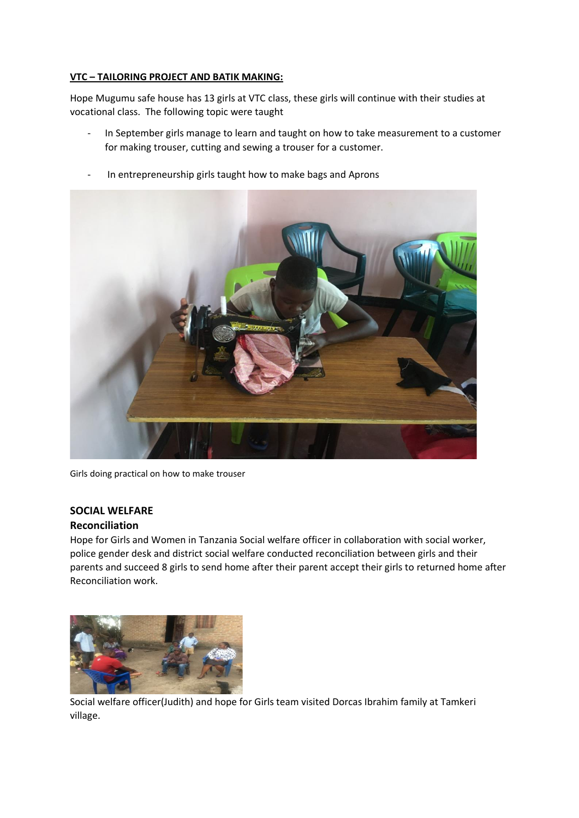#### **VTC – TAILORING PROJECT AND BATIK MAKING:**

Hope Mugumu safe house has 13 girls at VTC class, these girls will continue with their studies at vocational class. The following topic were taught

- In September girls manage to learn and taught on how to take measurement to a customer for making trouser, cutting and sewing a trouser for a customer.



- In entrepreneurship girls taught how to make bags and Aprons

Girls doing practical on how to make trouser

#### **SOCIAL WELFARE**

#### **Reconciliation**

Hope for Girls and Women in Tanzania Social welfare officer in collaboration with social worker, police gender desk and district social welfare conducted reconciliation between girls and their parents and succeed 8 girls to send home after their parent accept their girls to returned home after Reconciliation work.



Social welfare officer(Judith) and hope for Girls team visited Dorcas Ibrahim family at Tamkeri village.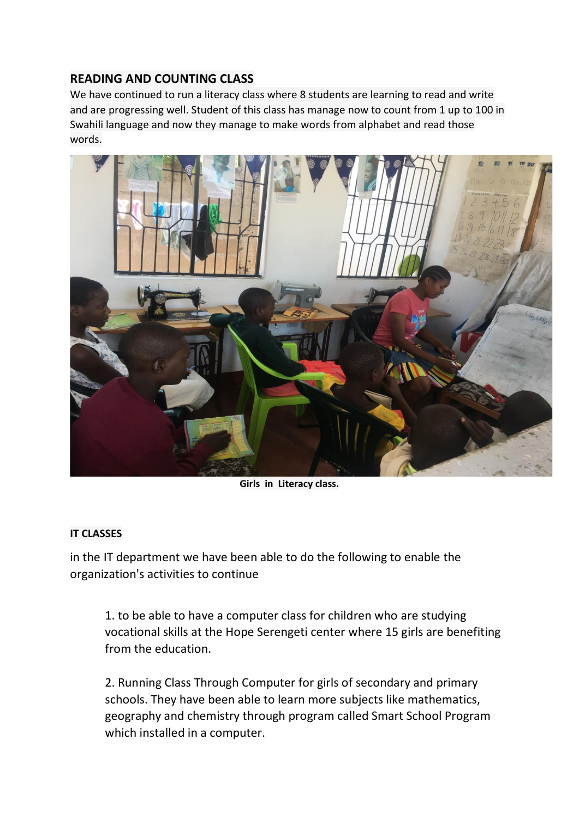# **READING AND COUNTING CLASS**

We have continued to run a literacy class where 8 students are learning to read and write and are progressing well. Student of this class has manage now to count from 1 up to 100 in Swahili language and now they manage to make words from alphabet and read those words.



**Girls in Literacy class.**

# **IT CLASSES**

in the IT department we have been able to do the following to enable the organization's activities to continue

1. to be able to have a computer class for children who are studying vocational skills at the Hope Serengeti center where 15 girls are benefiting from the education.

2. Running Class Through Computer for girls of secondary and primary schools. They have been able to learn more subjects like mathematics, geography and chemistry through program called Smart School Program which installed in a computer.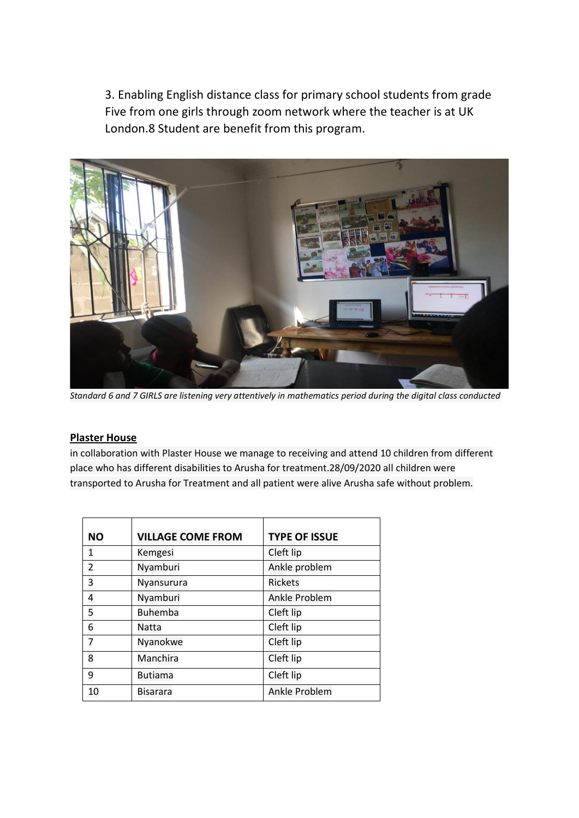3. Enabling English distance class for primary school students from grade Five from one girls through zoom network where the teacher is at UK London.8 Student are benefit from this program.



*Standard 6 and 7 GIRLS are listening very attentively in mathematics period during the digital class conducted*

## **Plaster House**

in collaboration with Plaster House we manage to receiving and attend 10 children from different place who has different disabilities to Arusha for treatment.28/09/2020 all children were transported to Arusha for Treatment and all patient were alive Arusha safe without problem.

| <b>NO</b>      | <b>VILLAGE COME FROM</b> | <b>TYPE OF ISSUE</b> |
|----------------|--------------------------|----------------------|
| 1              | Kemgesi                  | Cleft lip            |
| $\overline{2}$ | Nyamburi                 | Ankle problem        |
| 3              | Nyansurura               | <b>Rickets</b>       |
| 4              | Nyamburi                 | Ankle Problem        |
| 5              | <b>Buhemba</b>           | Cleft lip            |
| 6              | Natta                    | Cleft lip            |
| 7              | Nyanokwe                 | Cleft lip            |
| 8              | Manchira                 | Cleft lip            |
| 9              | <b>Butiama</b>           | Cleft lip            |
| 10             | <b>Bisarara</b>          | Ankle Problem        |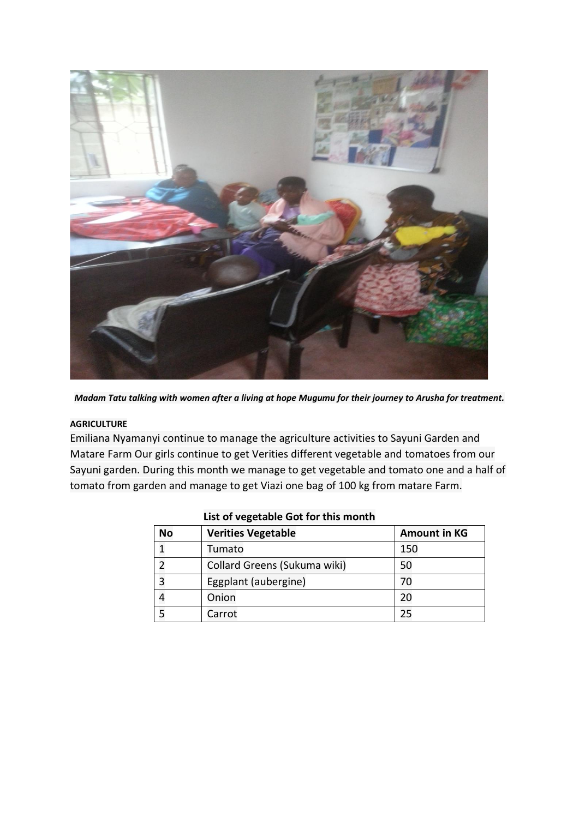

*Madam Tatu talking with women after a living at hope Mugumu for their journey to Arusha for treatment.*

#### **AGRICULTURE**

Emiliana Nyamanyi continue to manage the agriculture activities to Sayuni Garden and Matare Farm Our girls continue to get Verities different vegetable and tomatoes from our Sayuni garden. During this month we manage to get vegetable and tomato one and a half of tomato from garden and manage to get Viazi one bag of 100 kg from matare Farm.

| <b>No</b> | <b>Verities Vegetable</b>    | <b>Amount in KG</b> |
|-----------|------------------------------|---------------------|
|           | Tumato                       | 150                 |
|           | Collard Greens (Sukuma wiki) | 50                  |
| 3         | Eggplant (aubergine)         |                     |
|           | Onion                        |                     |
|           | Carrot                       |                     |

### **List of vegetable Got for this month**